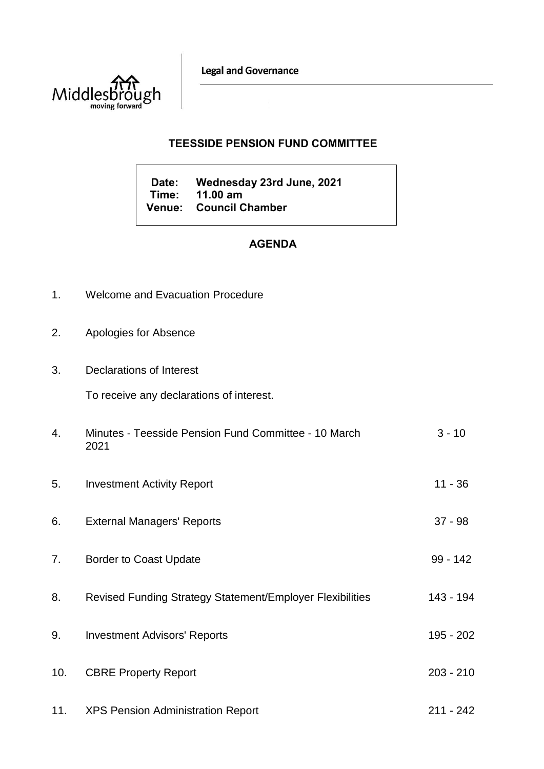**Legal and Governance** 



## **TEESSIDE PENSION FUND COMMITTEE**

**Date: Wednesday 23rd June, 2021 Time: 11.00 am Venue: Council Chamber**

# **AGENDA**

- 1. Welcome and Evacuation Procedure
- 2. Apologies for Absence
- 3. Declarations of Interest

To receive any declarations of interest.

| 4.  | Minutes - Teesside Pension Fund Committee - 10 March<br>2021 | $3 - 10$    |
|-----|--------------------------------------------------------------|-------------|
| 5.  | <b>Investment Activity Report</b>                            | $11 - 36$   |
| 6.  | <b>External Managers' Reports</b>                            | $37 - 98$   |
| 7.  | <b>Border to Coast Update</b>                                | $99 - 142$  |
| 8.  | Revised Funding Strategy Statement/Employer Flexibilities    | 143 - 194   |
| 9.  | <b>Investment Advisors' Reports</b>                          | 195 - 202   |
| 10. | <b>CBRE Property Report</b>                                  | $203 - 210$ |
| 11. | <b>XPS Pension Administration Report</b>                     | $211 - 242$ |